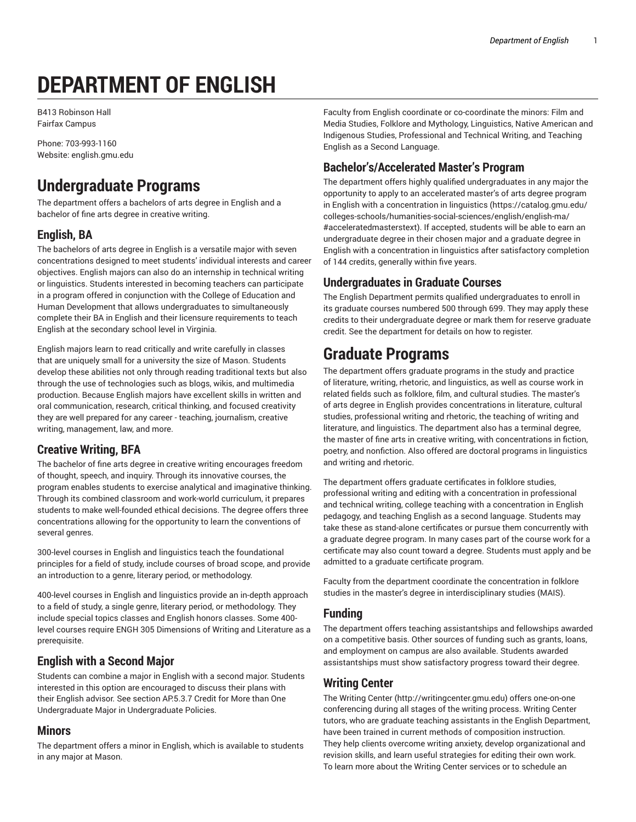# **DEPARTMENT OF ENGLISH**

B413 Robinson Hall Fairfax Campus

Phone: 703-993-1160 Website: english.gmu.edu

## **Undergraduate Programs**

The department offers a bachelors of arts degree in English and a bachelor of fine arts degree in creative writing.

### **English, BA**

The bachelors of arts degree in English is a versatile major with seven concentrations designed to meet students' individual interests and career objectives. English majors can also do an internship in technical writing or linguistics. Students interested in becoming teachers can participate in a program offered in conjunction with the College of Education and Human Development that allows undergraduates to simultaneously complete their BA in English and their licensure requirements to teach English at the secondary school level in Virginia.

English majors learn to read critically and write carefully in classes that are uniquely small for a university the size of Mason. Students develop these abilities not only through reading traditional texts but also through the use of technologies such as blogs, wikis, and multimedia production. Because English majors have excellent skills in written and oral communication, research, critical thinking, and focused creativity they are well prepared for any career - teaching, journalism, creative writing, management, law, and more.

### **Creative Writing, BFA**

The bachelor of fine arts degree in creative writing encourages freedom of thought, speech, and inquiry. Through its innovative courses, the program enables students to exercise analytical and imaginative thinking. Through its combined classroom and work-world curriculum, it prepares students to make well-founded ethical decisions. The degree offers three concentrations allowing for the opportunity to learn the conventions of several genres.

300-level courses in English and linguistics teach the foundational principles for a field of study, include courses of broad scope, and provide an introduction to a genre, literary period, or methodology.

400-level courses in English and linguistics provide an in-depth approach to a field of study, a single genre, literary period, or methodology. They include special topics classes and English honors classes. Some 400 level courses require ENGH 305 Dimensions of Writing and Literature as a prerequisite.

### **English with a Second Major**

Students can combine a major in English with a second major. Students interested in this option are encouraged to discuss their plans with their English advisor. See section AP.5.3.7 Credit for More than One Undergraduate Major in Undergraduate Policies.

### **Minors**

The department offers a minor in English, which is available to students in any major at Mason.

Faculty from English coordinate or co-coordinate the minors: Film and Media Studies, Folklore and Mythology, Linguistics, Native American and Indigenous Studies, Professional and Technical Writing, and Teaching English as a Second Language.

### **Bachelor's/Accelerated Master's Program**

The department offers highly qualified undergraduates in any major the opportunity to apply to an accelerated master's of arts degree program in English with a concentration in linguistics (https://catalog.gmu.edu/ colleges-schools/humanities-social-sciences/english/english-ma/ #acceleratedmasterstext). If accepted, students will be able to earn an undergraduate degree in their chosen major and a graduate degree in English with a concentration in linguistics after satisfactory completion of 144 credits, generally within five years.

### **Undergraduates in Graduate Courses**

The English Department permits qualified undergraduates to enroll in its graduate courses numbered 500 through 699. They may apply these credits to their undergraduate degree or mark them for reserve graduate credit. See the department for details on how to register.

### **Graduate Programs**

The department offers graduate programs in the study and practice of literature, writing, rhetoric, and linguistics, as well as course work in related fields such as folklore, film, and cultural studies. The master's of arts degree in English provides concentrations in literature, cultural studies, professional writing and rhetoric, the teaching of writing and literature, and linguistics. The department also has a terminal degree, the master of fine arts in creative writing, with concentrations in fiction, poetry, and nonfiction. Also offered are doctoral programs in linguistics and writing and rhetoric.

The department offers graduate certificates in folklore studies, professional writing and editing with a concentration in professional and technical writing, college teaching with a concentration in English pedagogy, and teaching English as a second language. Students may take these as stand-alone certificates or pursue them concurrently with a graduate degree program. In many cases part of the course work for a certificate may also count toward a degree. Students must apply and be admitted to a graduate certificate program.

Faculty from the department coordinate the concentration in folklore studies in the master's degree in interdisciplinary studies (MAIS).

### **Funding**

The department offers teaching assistantships and fellowships awarded on a competitive basis. Other sources of funding such as grants, loans, and employment on campus are also available. Students awarded assistantships must show satisfactory progress toward their degree.

### **Writing Center**

The Writing Center (http://writingcenter.gmu.edu) offers one-on-one conferencing during all stages of the writing process. Writing Center tutors, who are graduate teaching assistants in the English Department, have been trained in current methods of composition instruction. They help clients overcome writing anxiety, develop organizational and revision skills, and learn useful strategies for editing their own work. To learn more about the Writing Center services or to schedule an